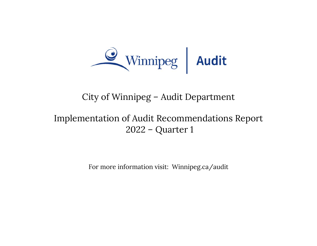

## City of Winnipeg – Audit Department

# Implementation of Audit Recommendations Report 2022 – Quarter 1

For more information visit: Winnipeg.ca/audit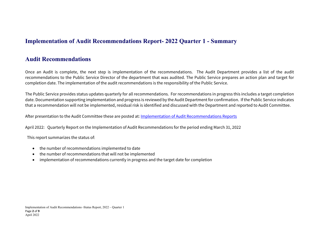#### **Implementation of Audit Recommendations Report- 2022 Quarter 1 - Summary**

#### **Audit Recommendations**

Once an Audit is complete, the next step is implementation of the recommendations. The Audit Department provides a list of the audit recommendations to the Public Service Director of the department that was audited. The Public Service prepares an action plan and target for completion date. The implementation of the audit recommendations is the responsibility of the Public Service.

The Public Service provides status updates quarterly for all recommendations. For recommendations in progress this includes a target completion date. Documentation supporting implementation and progress is reviewed by the Audit Department for confirmation. If the Public Service indicates that a recommendation will not be implemented, residual risk is identified and discussed with the Department and reported to Audit Committee.

After presentation to the Audit Committee these are posted at: Implementation of Audit Recommendations Reports

April 2022: Quarterly Report on the Implementation of Audit Recommendations for the period ending March 31, 2022

This report summarizes the status of:

- the number of recommendations implemented to date
- the number of recommendations that will not be implemented
- $\bullet$ implementation of recommendations currently in progress and the target date for completion

Implementation of Audit Recommendations -Status Report, 2022 – Quarter 1 Page **2** of **9** April 2022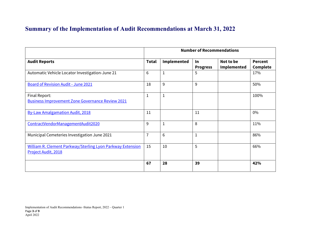### **Summary of the Implementation of Audit Recommendations at March 31, 2022**

|                                                                                   | <b>Number of Recommendations</b> |                    |                       |                          |                                   |
|-----------------------------------------------------------------------------------|----------------------------------|--------------------|-----------------------|--------------------------|-----------------------------------|
| <b>Audit Reports</b>                                                              | <b>Total</b>                     | <b>Implemented</b> | In<br><b>Progress</b> | Not to be<br>Implemented | <b>Percent</b><br><b>Complete</b> |
| Automatic Vehicle Locator Investigation-June 21                                   | 6                                | $\mathbf{1}$       | 5                     |                          | 17%                               |
| <b>Board of Revision Audit - June 2021</b>                                        | 18                               | 9                  | 9                     |                          | 50%                               |
| Final Report:<br><b>Business Improvement Zone Governance Review 2021</b>          | 1                                | $\mathbf{1}$       |                       |                          | 100%                              |
| <b>By-Law Amalgamation Audit, 2018</b>                                            | 11                               |                    | 11                    |                          | $0\%$                             |
| ContractVendorManagementAudit2020                                                 | 9                                | $\mathbf{1}$       | 8                     |                          | 11%                               |
| Municipal Cemeteries Investigation June 2021                                      | $\overline{7}$                   | 6                  | 1                     |                          | 86%                               |
| William R. Clement Parkway/Sterling Lyon Parkway Extension<br>Project Audit, 2018 | 15                               | 10                 | 5                     |                          | 66%                               |
|                                                                                   | 67                               | 28                 | 39                    |                          | 42%                               |

Implementation of Audit Recommendations -Status Report, 2022 – Quarter 1 Page **3** of **9** April 2022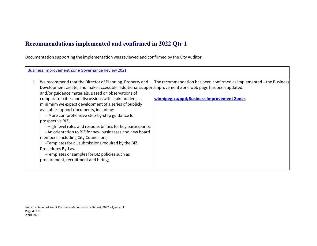### **Recommendations implemented and confirmed in 2022 Qtr 1**

Documentation supporting the implementation was reviewed and confirmed by the City Auditor.

| <b>Business Improvement Zone Governance Review 2021</b>                                                                                                                                                                                                                                                                                                                                                                                                                                                                                                                                                                                                                                               |                                                                                                                                                                                                                             |
|-------------------------------------------------------------------------------------------------------------------------------------------------------------------------------------------------------------------------------------------------------------------------------------------------------------------------------------------------------------------------------------------------------------------------------------------------------------------------------------------------------------------------------------------------------------------------------------------------------------------------------------------------------------------------------------------------------|-----------------------------------------------------------------------------------------------------------------------------------------------------------------------------------------------------------------------------|
| We recommend that the Director of Planning, Property and<br>1.<br>and/or guidance materials. Based on observations of<br>comparator cities and discussions with stakeholders, at<br>minimum we expect development of a series of publicly<br>available support documents, including:<br>- More comprehensive step-by-step guidance for<br>prospective BIZ;<br>- High-level roles and responsibilities for key participants;<br>- An orientation to BIZ for new businesses and new board<br>members, including City Councillors;<br>-Templates for all submissions required by the BIZ<br>Procedures By-Law;<br>-Templates or samples for BIZ policies such as<br>procurement, recruitment and hiring; | The recommendation has been confirmed as implemented – the Business<br>Development create, and make accessible, additional support mprovement Zone web page has been updated.<br>winnipeg.ca/ppd/Business Improvement Zones |

Implementation of Audit Recommendations -Status Report, 2022 – Quarter 1 Page **4** of **9** April 2022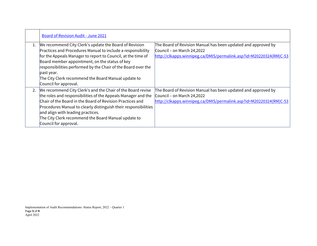|    | Board of Revision Audit - June 2021                                                                                                                                                                                                                                                                                                                                                                    |                                                                                                                                                                   |
|----|--------------------------------------------------------------------------------------------------------------------------------------------------------------------------------------------------------------------------------------------------------------------------------------------------------------------------------------------------------------------------------------------------------|-------------------------------------------------------------------------------------------------------------------------------------------------------------------|
| 1. | We recommend City Clerk's update the Board of Revision<br>Practices and Procedures Manual to include a responsibility<br>for the Appeals Manager to report to Council, at the time of<br>Board member appointment, on the status of key<br>responsibilities performed by the Chair of the Board over the<br>past year.<br>The City Clerk recommend the Board Manual update to<br>Council for approval. | The Board of Revision Manual has been updated and approved by<br>Council - on March 24,2022<br>http://clkapps.winnipeg.ca/DMIS/permalink.asp?id=M20220324(RM)C-53 |
| 2. | We recommend City Clerk's and the Chair of the Board revise<br>the roles and responsibilities of the Appeals Manager and the<br>Chair of the Board in the Board of Revision Practices and<br>Procedures Manual to clearly distinguish their responsibilities<br>and align with leading practices.<br>The City Clerk recommend the Board Manual update to<br>Council for approval.                      | The Board of Revision Manual has been updated and approved by<br>Council - on March 24,2022<br>http://clkapps.winnipeg.ca/DMIS/permalink.asp?id=M20220324(RM)C-53 |

Implementation of Audit Recommendations -Status Report, 2022 – Quarter 1 Page **5** of **9** April 2022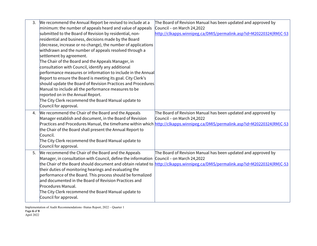| 3. | We recommend the Annual Report be revised to include at a                                   | The Board of Revision Manual has been updated and approved by                                                                  |
|----|---------------------------------------------------------------------------------------------|--------------------------------------------------------------------------------------------------------------------------------|
|    | minimum: the number of appeals heard and value of appeals                                   | Council - on March 24,2022                                                                                                     |
|    | submitted to the Board of Revision by residential, non-                                     | http://clkapps.winnipeg.ca/DMIS/permalink.asp?id=M20220324(RM)C-53                                                             |
|    | residential and business, decisions made by the Board                                       |                                                                                                                                |
|    | (decrease, increase or no change), the number of applications                               |                                                                                                                                |
|    | withdrawn and the number of appeals resolved through a                                      |                                                                                                                                |
|    | settlement by agreement.                                                                    |                                                                                                                                |
|    | The Chair of the Board and the Appeals Manager, in                                          |                                                                                                                                |
|    | consultation with Council, identify any additional                                          |                                                                                                                                |
|    | performance measures or information to include in the Annual                                |                                                                                                                                |
|    | Report to ensure the Board is meeting its goal. City Clerk's                                |                                                                                                                                |
|    | should update the Board of Revision Practices and Procedures                                |                                                                                                                                |
|    | Manual to include all the performance measures to be                                        |                                                                                                                                |
|    | reported on in the Annual Report.                                                           |                                                                                                                                |
|    | The City Clerk recommend the Board Manual update to                                         |                                                                                                                                |
|    | Council for approval.                                                                       |                                                                                                                                |
|    |                                                                                             |                                                                                                                                |
| 4. | We recommend the Chair of the Board and the Appeals                                         | The Board of Revision Manual has been updated and approved by                                                                  |
|    | Manager establish and document, in the Board of Revision                                    | Council - on March 24,2022                                                                                                     |
|    |                                                                                             | Practices and Procedures Manual, the timeframe within which http://clkapps.winnipeg.ca/DMIS/permalink.asp?id=M20220324(RM)C-53 |
|    | the Chair of the Board shall present the Annual Report to                                   |                                                                                                                                |
|    | Council.                                                                                    |                                                                                                                                |
|    | The City Clerk recommend the Board Manual update to $\overline{a}$                          |                                                                                                                                |
|    | Council for approval.                                                                       |                                                                                                                                |
| 5. | We recommend the Chair of the Board and the Appeals                                         | The Board of Revision Manual has been updated and approved by                                                                  |
|    | Manager, in consultation with Council, define the information                               | Council - on March 24,2022                                                                                                     |
|    | the Chair of the Board should document and obtain related to                                | http://clkapps.winnipeg.ca/DMIS/permalink.asp?id=M20220324(RM)C-53                                                             |
|    | their duties of monitoring hearings and evaluating the                                      |                                                                                                                                |
|    | performance of the Board. This process should be formalized                                 |                                                                                                                                |
|    | and documented in the Board of Revision Practices and                                       |                                                                                                                                |
|    | Procedures Manual.                                                                          |                                                                                                                                |
|    | The City Clerk recommend the Board Manual update to $\overline{a}$<br>Council for approval. |                                                                                                                                |

Implementation of Audit Recommendations -Status Report, 2022 – Quarter 1 Page **6** of **9** April 2022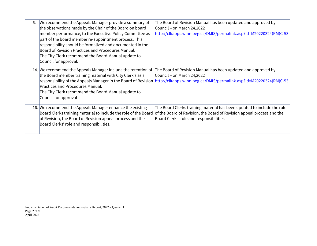| 6. | We recommend the Appeals Manager provide a summary of<br>the observations made by the Chair of the Board on board<br>member performance, to the Executive Policy Committee as<br>part of the board member re-appointment process. This<br>responsibility should be formalized and documented in the<br>Board of Revision Practices and Procedures Manual.<br>The City Clerk recommend the Board Manual update to<br>Council for approval. | The Board of Revision Manual has been updated and approved by<br>Council – on March 24,2022<br>http://clkapps.winnipeg.ca/DMIS/permalink.asp?id=M20220324(RM)C-53                                                                |
|----|-------------------------------------------------------------------------------------------------------------------------------------------------------------------------------------------------------------------------------------------------------------------------------------------------------------------------------------------------------------------------------------------------------------------------------------------|----------------------------------------------------------------------------------------------------------------------------------------------------------------------------------------------------------------------------------|
|    | 14. We recommend the Appeals Manager include the retention of<br>the Board member training material with City Clerk's as a<br>Practices and Procedures Manual.<br>The City Clerk recommend the Board Manual update to<br>Council for approval                                                                                                                                                                                             | The Board of Revision Manual has been updated and approved by<br>Council – on March 24,2022<br>responsibility of the Appeals Manager in the Board of Revision http://clkapps.winnipeg.ca/DMIS/permalink.asp?id=M20220324(RM)C-53 |
|    | 16. We recommend the Appeals Manager enhance the existing<br>Board Clerks training material to include the role of the Board<br>of Revision, the Board of Revision appeal process and the<br>Board Clerks' role and responsibilities.                                                                                                                                                                                                     | The Board Clerks training material has been updated to include the role $\overline{\phantom{a}}$<br>of the Board of Revision, the Board of Revision appeal process and the<br>Board Clerks' role and responsibilities.           |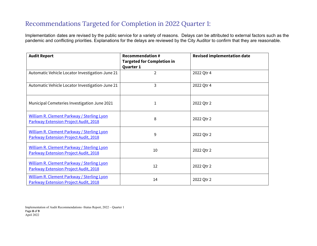### Recommendations Targeted for Completion in 2022 Quarter 1:

Implementation dates are revised by the public service for a variety of reasons. Delays can be attributed to external factors such as the pandemic and conflicting priorities. Explanations for the delays are reviewed by the City Auditor to confirm that they are reasonable.

| <b>Audit Report</b>                                                                        | <b>Recommendation #</b><br><b>Targeted for Completion in</b><br>Quarter 1 | <b>Revised implementation date</b> |
|--------------------------------------------------------------------------------------------|---------------------------------------------------------------------------|------------------------------------|
| Automatic Vehicle Locator Investigation-June 21                                            | $\overline{2}$                                                            | 2022 Qtr 4                         |
| Automatic Vehicle Locator Investigation-June 21                                            | 3                                                                         | 2022 Qtr 4                         |
| Municipal Cemeteries Investigation June 2021                                               | 1                                                                         | 2022 Qtr 2                         |
| <b>William R. Clement Parkway / Sterling Lyon</b><br>Parkway Extension Project Audit, 2018 | 8                                                                         | 2022 Qtr 2                         |
| <b>William R. Clement Parkway / Sterling Lyon</b><br>Parkway Extension Project Audit, 2018 | 9                                                                         | 2022 Qtr 2                         |
| <b>William R. Clement Parkway / Sterling Lyon</b><br>Parkway Extension Project Audit, 2018 | 10                                                                        | 2022 Qtr 2                         |
| <b>William R. Clement Parkway / Sterling Lyon</b><br>Parkway Extension Project Audit, 2018 | 12                                                                        | 2022 Qtr 2                         |
| William R. Clement Parkway / Sterling Lyon<br>Parkway Extension Project Audit, 2018        | 14                                                                        | 2022 Qtr 2                         |

Implementation of Audit Recommendations -Status Report, 2022 – Quarter 1 Page **8** of **9** April 2022